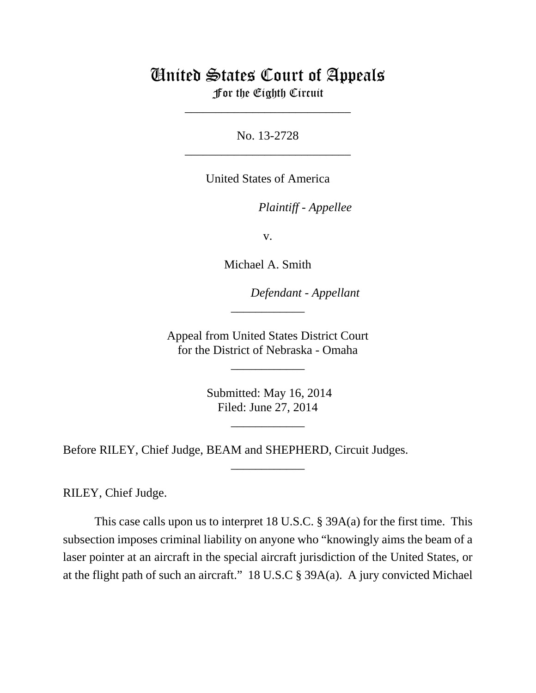# United States Court of Appeals For the Eighth Circuit

\_\_\_\_\_\_\_\_\_\_\_\_\_\_\_\_\_\_\_\_\_\_\_\_\_\_\_

No. 13-2728 \_\_\_\_\_\_\_\_\_\_\_\_\_\_\_\_\_\_\_\_\_\_\_\_\_\_\_

United States of America

*Plaintiff - Appellee* 

v.

Michael A. Smith

lllllllllllllllllllll *Defendant - Appellant*

 Appeal from United States District Court for the District of Nebraska - Omaha

\_\_\_\_\_\_\_\_\_\_\_\_

\_\_\_\_\_\_\_\_\_\_\_\_

 Submitted: May 16, 2014 Filed: June 27, 2014

\_\_\_\_\_\_\_\_\_\_\_\_

\_\_\_\_\_\_\_\_\_\_\_\_

Before RILEY, Chief Judge, BEAM and SHEPHERD, Circuit Judges.

RILEY, Chief Judge.

This case calls upon us to interpret 18 U.S.C. § 39A(a) for the first time. This subsection imposes criminal liability on anyone who "knowingly aims the beam of a laser pointer at an aircraft in the special aircraft jurisdiction of the United States, or at the flight path of such an aircraft." 18 U.S.C § 39A(a). A jury convicted Michael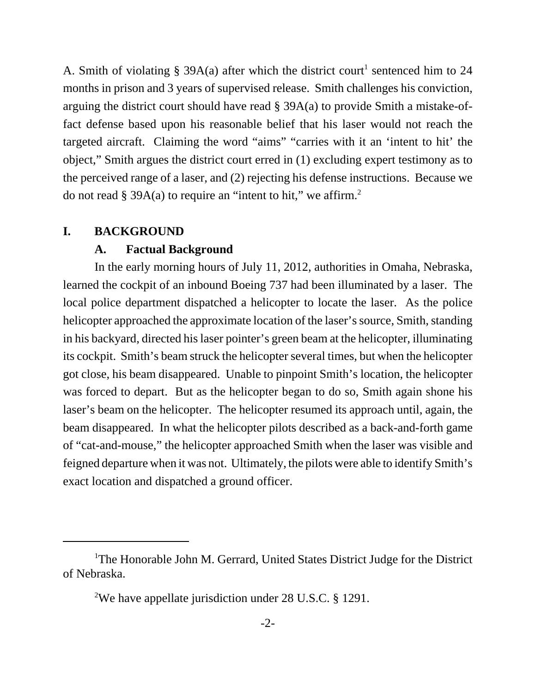A. Smith of violating § 39A(a) after which the district court<sup>1</sup> sentenced him to 24 months in prison and 3 years of supervised release. Smith challenges his conviction, arguing the district court should have read § 39A(a) to provide Smith a mistake-offact defense based upon his reasonable belief that his laser would not reach the targeted aircraft. Claiming the word "aims" "carries with it an 'intent to hit' the object," Smith argues the district court erred in (1) excluding expert testimony as to the perceived range of a laser, and (2) rejecting his defense instructions. Because we do not read  $\S$  39A(a) to require an "intent to hit," we affirm.<sup>2</sup>

#### **I. BACKGROUND**

#### **A. Factual Background**

In the early morning hours of July 11, 2012, authorities in Omaha, Nebraska, learned the cockpit of an inbound Boeing 737 had been illuminated by a laser. The local police department dispatched a helicopter to locate the laser. As the police helicopter approached the approximate location of the laser's source, Smith, standing in his backyard, directed his laser pointer's green beam at the helicopter, illuminating its cockpit. Smith's beam struck the helicopter several times, but when the helicopter got close, his beam disappeared. Unable to pinpoint Smith's location, the helicopter was forced to depart. But as the helicopter began to do so, Smith again shone his laser's beam on the helicopter. The helicopter resumed its approach until, again, the beam disappeared. In what the helicopter pilots described as a back-and-forth game of "cat-and-mouse," the helicopter approached Smith when the laser was visible and feigned departure when it was not. Ultimately, the pilots were able to identify Smith's exact location and dispatched a ground officer.

<sup>&</sup>lt;sup>1</sup>The Honorable John M. Gerrard, United States District Judge for the District of Nebraska.

<sup>&</sup>lt;sup>2</sup>We have appellate jurisdiction under 28 U.S.C. § 1291.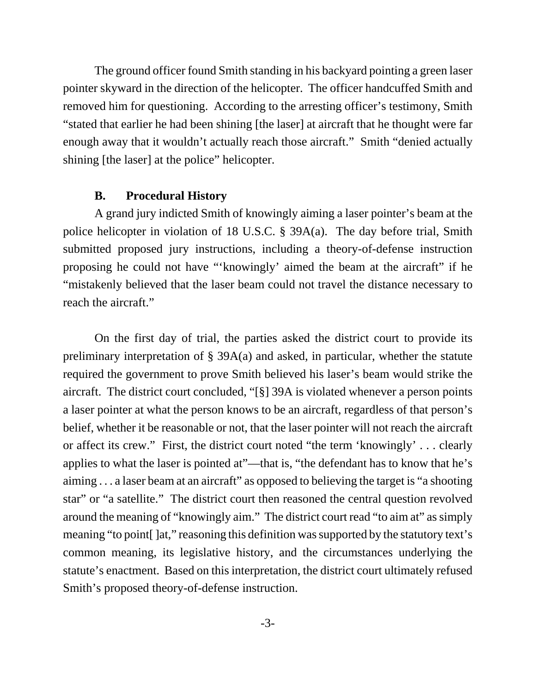The ground officer found Smith standing in his backyard pointing a green laser pointer skyward in the direction of the helicopter. The officer handcuffed Smith and removed him for questioning. According to the arresting officer's testimony, Smith "stated that earlier he had been shining [the laser] at aircraft that he thought were far enough away that it wouldn't actually reach those aircraft." Smith "denied actually shining [the laser] at the police" helicopter.

## **B. Procedural History**

A grand jury indicted Smith of knowingly aiming a laser pointer's beam at the police helicopter in violation of 18 U.S.C. § 39A(a). The day before trial, Smith submitted proposed jury instructions, including a theory-of-defense instruction proposing he could not have "'knowingly' aimed the beam at the aircraft" if he "mistakenly believed that the laser beam could not travel the distance necessary to reach the aircraft."

On the first day of trial, the parties asked the district court to provide its preliminary interpretation of § 39A(a) and asked, in particular, whether the statute required the government to prove Smith believed his laser's beam would strike the aircraft. The district court concluded, "[§] 39A is violated whenever a person points a laser pointer at what the person knows to be an aircraft, regardless of that person's belief, whether it be reasonable or not, that the laser pointer will not reach the aircraft or affect its crew." First, the district court noted "the term 'knowingly' . . . clearly applies to what the laser is pointed at"—that is, "the defendant has to know that he's aiming . . . a laser beam at an aircraft" as opposed to believing the target is "a shooting star" or "a satellite." The district court then reasoned the central question revolved around the meaning of "knowingly aim." The district court read "to aim at" as simply meaning "to point[ ]at," reasoning this definition was supported by the statutory text's common meaning, its legislative history, and the circumstances underlying the statute's enactment. Based on this interpretation, the district court ultimately refused Smith's proposed theory-of-defense instruction.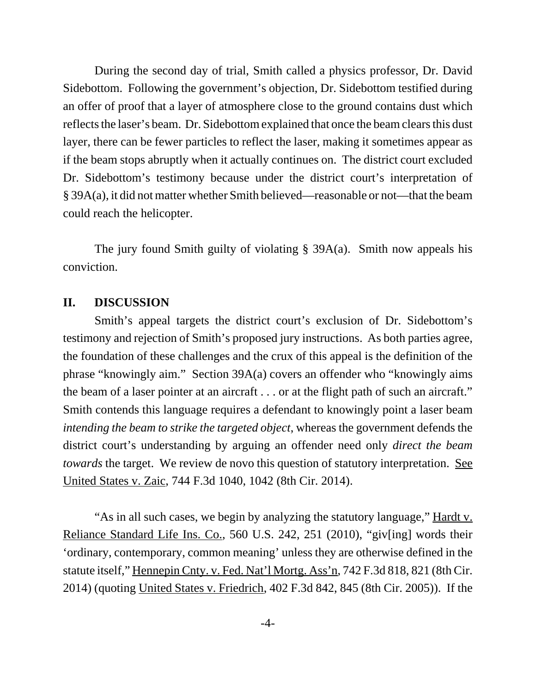During the second day of trial, Smith called a physics professor, Dr. David Sidebottom. Following the government's objection, Dr. Sidebottom testified during an offer of proof that a layer of atmosphere close to the ground contains dust which reflects the laser's beam. Dr. Sidebottom explained that once the beam clears this dust layer, there can be fewer particles to reflect the laser, making it sometimes appear as if the beam stops abruptly when it actually continues on. The district court excluded Dr. Sidebottom's testimony because under the district court's interpretation of § 39A(a), it did not matter whether Smith believed—reasonable or not—that the beam could reach the helicopter.

The jury found Smith guilty of violating § 39A(a). Smith now appeals his conviction.

#### **II. DISCUSSION**

Smith's appeal targets the district court's exclusion of Dr. Sidebottom's testimony and rejection of Smith's proposed jury instructions. As both parties agree, the foundation of these challenges and the crux of this appeal is the definition of the phrase "knowingly aim." Section 39A(a) covers an offender who "knowingly aims the beam of a laser pointer at an aircraft . . . or at the flight path of such an aircraft." Smith contends this language requires a defendant to knowingly point a laser beam *intending the beam to strike the targeted object*, whereas the government defends the district court's understanding by arguing an offender need only *direct the beam towards* the target. We review de novo this question of statutory interpretation. See United States v. Zaic, 744 F.3d 1040, 1042 (8th Cir. 2014).

"As in all such cases, we begin by analyzing the statutory language," Hardt v. Reliance Standard Life Ins. Co., 560 U.S. 242, 251 (2010), "giv[ing] words their 'ordinary, contemporary, common meaning' unless they are otherwise defined in the statute itself," Hennepin Cnty. v. Fed. Nat'l Mortg. Ass'n, 742 F.3d 818, 821 (8th Cir. 2014) (quoting United States v. Friedrich, 402 F.3d 842, 845 (8th Cir. 2005)). If the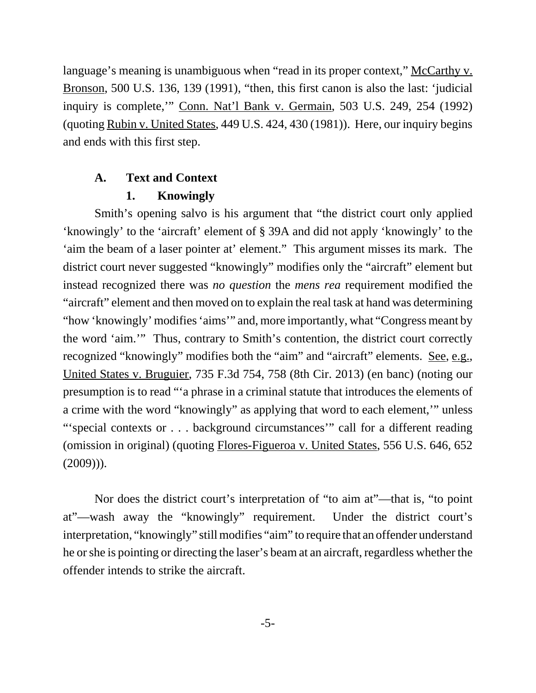language's meaning is unambiguous when "read in its proper context," McCarthy v. Bronson, 500 U.S. 136, 139 (1991), "then, this first canon is also the last: 'judicial inquiry is complete,'" Conn. Nat'l Bank v. Germain, 503 U.S. 249, 254 (1992) (quoting Rubin v. United States, 449 U.S. 424, 430 (1981)). Here, our inquiry begins and ends with this first step.

# **A. Text and Context**

# **1. Knowingly**

Smith's opening salvo is his argument that "the district court only applied 'knowingly' to the 'aircraft' element of § 39A and did not apply 'knowingly' to the 'aim the beam of a laser pointer at' element." This argument misses its mark. The district court never suggested "knowingly" modifies only the "aircraft" element but instead recognized there was *no question* the *mens rea* requirement modified the "aircraft" element and then moved on to explain the real task at hand was determining "how 'knowingly' modifies 'aims'" and, more importantly, what "Congress meant by the word 'aim.'" Thus, contrary to Smith's contention, the district court correctly recognized "knowingly" modifies both the "aim" and "aircraft" elements. See, e.g., United States v. Bruguier, 735 F.3d 754, 758 (8th Cir. 2013) (en banc) (noting our presumption is to read "'a phrase in a criminal statute that introduces the elements of a crime with the word "knowingly" as applying that word to each element,'" unless "'special contexts or . . . background circumstances'" call for a different reading (omission in original) (quoting Flores-Figueroa v. United States, 556 U.S. 646, 652 (2009))).

Nor does the district court's interpretation of "to aim at"—that is, "to point at"—wash away the "knowingly" requirement. Under the district court's interpretation, "knowingly" still modifies "aim" to require that an offender understand he or she is pointing or directing the laser's beam at an aircraft, regardless whether the offender intends to strike the aircraft.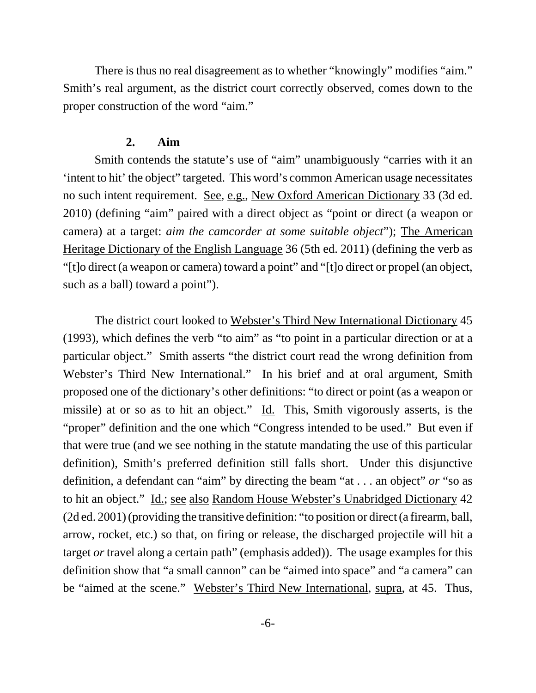There is thus no real disagreement as to whether "knowingly" modifies "aim." Smith's real argument, as the district court correctly observed, comes down to the proper construction of the word "aim."

#### **2. Aim**

Smith contends the statute's use of "aim" unambiguously "carries with it an 'intent to hit' the object" targeted. This word's common American usage necessitates no such intent requirement. See, e.g., New Oxford American Dictionary 33 (3d ed. 2010) (defining "aim" paired with a direct object as "point or direct (a weapon or camera) at a target: *aim the camcorder at some suitable object*"); The American Heritage Dictionary of the English Language 36 (5th ed. 2011) (defining the verb as "[t]o direct (a weapon or camera) toward a point" and "[t]o direct or propel (an object, such as a ball) toward a point").

The district court looked to Webster's Third New International Dictionary 45 (1993), which defines the verb "to aim" as "to point in a particular direction or at a particular object." Smith asserts "the district court read the wrong definition from Webster's Third New International." In his brief and at oral argument, Smith proposed one of the dictionary's other definitions: "to direct or point (as a weapon or missile) at or so as to hit an object." Id. This, Smith vigorously asserts, is the "proper" definition and the one which "Congress intended to be used." But even if that were true (and we see nothing in the statute mandating the use of this particular definition), Smith's preferred definition still falls short. Under this disjunctive definition, a defendant can "aim" by directing the beam "at . . . an object" *or* "so as to hit an object." Id.; see also Random House Webster's Unabridged Dictionary 42 (2d ed. 2001) (providing the transitive definition: "to position or direct (a firearm, ball, arrow, rocket, etc.) so that, on firing or release, the discharged projectile will hit a target *or* travel along a certain path" (emphasis added)). The usage examples for this definition show that "a small cannon" can be "aimed into space" and "a camera" can be "aimed at the scene." Webster's Third New International, supra, at 45. Thus,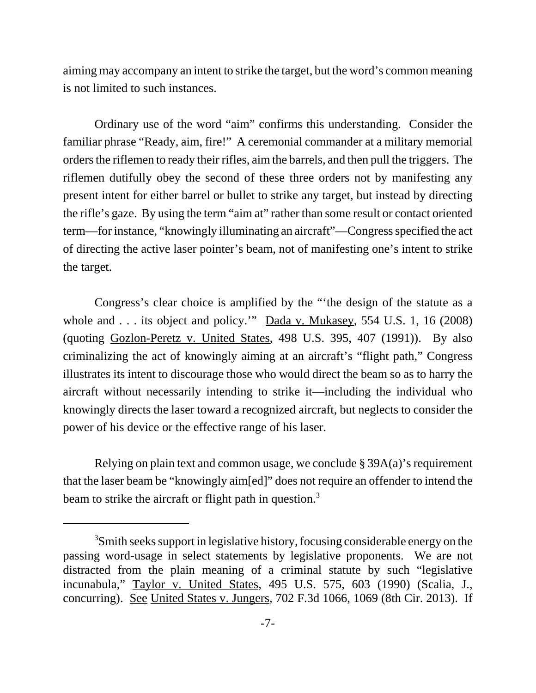aiming may accompany an intent to strike the target, but the word's common meaning is not limited to such instances.

Ordinary use of the word "aim" confirms this understanding. Consider the familiar phrase "Ready, aim, fire!" A ceremonial commander at a military memorial orders the riflemen to ready their rifles, aim the barrels, and then pull the triggers. The riflemen dutifully obey the second of these three orders not by manifesting any present intent for either barrel or bullet to strike any target, but instead by directing the rifle's gaze. By using the term "aim at" rather than some result or contact oriented term—for instance, "knowingly illuminating an aircraft"—Congress specified the act of directing the active laser pointer's beam, not of manifesting one's intent to strike the target.

Congress's clear choice is amplified by the "'the design of the statute as a whole and . . . its object and policy." Dada v. Mukasey, 554 U.S. 1, 16 (2008) (quoting Gozlon-Peretz v. United States, 498 U.S. 395, 407 (1991)). By also criminalizing the act of knowingly aiming at an aircraft's "flight path," Congress illustrates its intent to discourage those who would direct the beam so as to harry the aircraft without necessarily intending to strike it—including the individual who knowingly directs the laser toward a recognized aircraft, but neglects to consider the power of his device or the effective range of his laser.

Relying on plain text and common usage, we conclude § 39A(a)'s requirement that the laser beam be "knowingly aim[ed]" does not require an offender to intend the beam to strike the aircraft or flight path in question.<sup>3</sup>

<sup>&</sup>lt;sup>3</sup>Smith seeks support in legislative history, focusing considerable energy on the passing word-usage in select statements by legislative proponents. We are not distracted from the plain meaning of a criminal statute by such "legislative incunabula," Taylor v. United States, 495 U.S. 575, 603 (1990) (Scalia, J., concurring). See United States v. Jungers, 702 F.3d 1066, 1069 (8th Cir. 2013). If